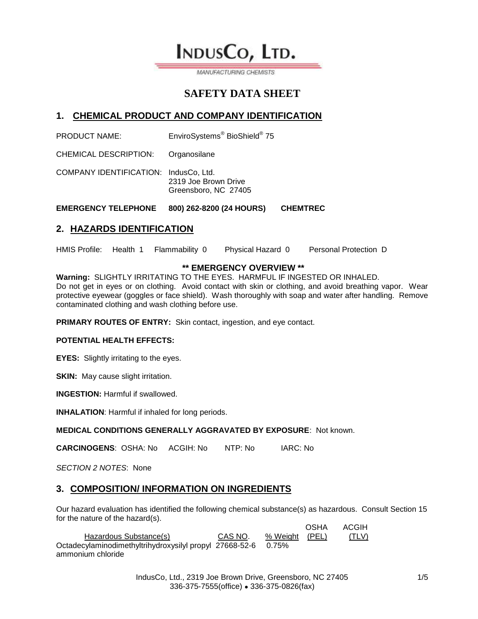INDUSCO, LTD.

MANUFACTURING CHEMISTS

# **SAFETY DATA SHEET**

# **1. CHEMICAL PRODUCT AND COMPANY IDENTIFICATION**

**PRODUCT NAME:** BioShield<sup>®</sup> 75

CHEMICAL DESCRIPTION: Organosilane

COMPANY IDENTIFICATION: IndusCo, Ltd. 2319 Joe Brown Drive Greensboro, NC 27405

**EMERGENCY TELEPHONE 800) 262-8200 (24 HOURS) CHEMTREC**

## **2. HAZARDS IDENTIFICATION**

HMIS Profile: Health 1 Flammability 0 Physical Hazard 0 Personal Protection D

### **\*\* EMERGENCY OVERVIEW \*\***

**Warning:** SLIGHTLY IRRITATING TO THE EYES. HARMFUL IF INGESTED OR INHALED. Do not get in eyes or on clothing. Avoid contact with skin or clothing, and avoid breathing vapor. Wear protective eyewear (goggles or face shield). Wash thoroughly with soap and water after handling. Remove contaminated clothing and wash clothing before use.

**PRIMARY ROUTES OF ENTRY:** Skin contact, ingestion, and eye contact.

#### **POTENTIAL HEALTH EFFECTS:**

**EYES:** Slightly irritating to the eyes.

**SKIN:** May cause slight irritation.

**INGESTION:** Harmful if swallowed.

**INHALATION**: Harmful if inhaled for long periods.

**MEDICAL CONDITIONS GENERALLY AGGRAVATED BY EXPOSURE**: Not known.

**CARCINOGENS**: OSHA: No ACGIH: No NTP: No IARC: No

*SECTION 2 NOTES*: None

## **3. COMPOSITION/ INFORMATION ON INGREDIENTS**

Our hazard evaluation has identified the following chemical substance(s) as hazardous. Consult Section 15 for the nature of the hazard(s). OSHA ACGIH

|                                                               |         |                | <b>UUIM</b> | <b>AVVILL</b> |
|---------------------------------------------------------------|---------|----------------|-------------|---------------|
| Hazardous Substance(s)                                        | CAS NO. | % Weight (PEL) |             | (TLV)         |
| Octadecylaminodimethyltrihydroxysilyl propyl 27668-52-6 0.75% |         |                |             |               |
| ammonium chloride                                             |         |                |             |               |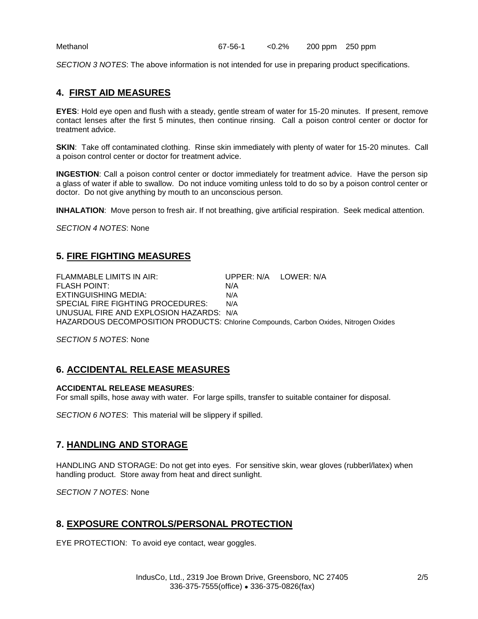*SECTION 3 NOTES*: The above information is not intended for use in preparing product specifications.

# **4. FIRST AID MEASURES**

**EYES**: Hold eye open and flush with a steady, gentle stream of water for 15-20 minutes. If present, remove contact lenses after the first 5 minutes, then continue rinsing. Call a poison control center or doctor for treatment advice.

**SKIN:** Take off contaminated clothing. Rinse skin immediately with plenty of water for 15-20 minutes. Call a poison control center or doctor for treatment advice.

**INGESTION**: Call a poison control center or doctor immediately for treatment advice. Have the person sip a glass of water if able to swallow. Do not induce vomiting unless told to do so by a poison control center or doctor. Do not give anything by mouth to an unconscious person.

**INHALATION**: Move person to fresh air. If not breathing, give artificial respiration. Seek medical attention.

*SECTION 4 NOTES*: None

## **5. FIRE FIGHTING MEASURES**

FLAMMABLE LIMITS IN AIR: UPPER: N/A LOWER: N/A FLASH POINT: N/A EXTINGUISHING MEDIA: N/A SPECIAL FIRE FIGHTING PROCEDURES: N/A UNUSUAL FIRE AND EXPLOSION HAZARDS: N/A HAZARDOUS DECOMPOSITION PRODUCTS: Chlorine Compounds, Carbon Oxides, Nitrogen Oxides

*SECTION 5 NOTES*: None

# **6. ACCIDENTAL RELEASE MEASURES**

#### **ACCIDENTAL RELEASE MEASURES**:

For small spills, hose away with water. For large spills, transfer to suitable container for disposal.

*SECTION 6 NOTES*: This material will be slippery if spilled.

## **7. HANDLING AND STORAGE**

HANDLING AND STORAGE: Do not get into eyes. For sensitive skin, wear gloves (rubberl/latex) when handling product. Store away from heat and direct sunlight.

*SECTION 7 NOTES*: None

# **8. EXPOSURE CONTROLS/PERSONAL PROTECTION**

EYE PROTECTION: To avoid eye contact, wear goggles.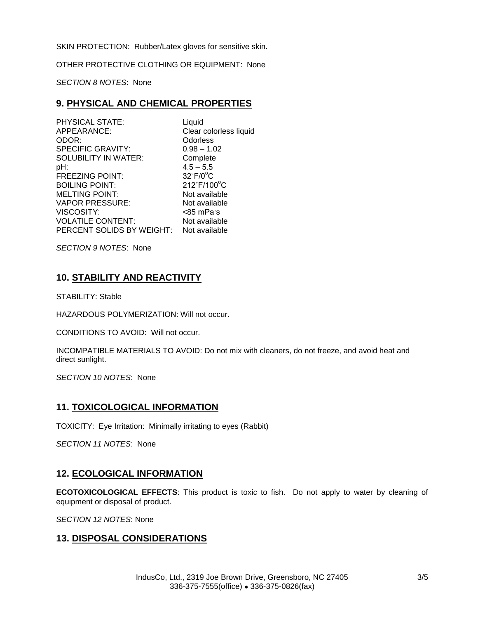SKIN PROTECTION:Rubber/Latex gloves for sensitive skin.

OTHER PROTECTIVE CLOTHING OR EQUIPMENT: None

*SECTION 8 NOTES*: None

### **9. PHYSICAL AND CHEMICAL PROPERTIES**

| PHYSICAL STATE:           | Liquid                 |
|---------------------------|------------------------|
| APPEARANCE:               | Clear colorless liquid |
| ODOR:                     | Odorless               |
| <b>SPECIFIC GRAVITY:</b>  | $0.98 - 1.02$          |
| SOLUBILITY IN WATER:      | Complete               |
| pH:                       | $4.5 - 5.5$            |
| <b>FREEZING POINT:</b>    | $32^\circ F/0^\circ C$ |
| <b>BOILING POINT:</b>     | 212°F/100°C            |
| <b>MELTING POINT:</b>     | Not available          |
| <b>VAPOR PRESSURE:</b>    | Not available          |
| <b>VISCOSITY:</b>         | <85 mPa·s              |
| <b>VOLATILE CONTENT:</b>  | Not available          |
| PERCENT SOLIDS BY WEIGHT: | Not available          |

*SECTION 9 NOTES*: None

## **10. STABILITY AND REACTIVITY**

STABILITY: Stable

HAZARDOUS POLYMERIZATION: Will not occur.

CONDITIONS TO AVOID: Will not occur.

INCOMPATIBLE MATERIALS TO AVOID: Do not mix with cleaners, do not freeze, and avoid heat and direct sunlight.

*SECTION 10 NOTES*: None

### **11. TOXICOLOGICAL INFORMATION**

TOXICITY: Eye Irritation: Minimally irritating to eyes (Rabbit)

*SECTION 11 NOTES*: None

### **12. ECOLOGICAL INFORMATION**

**ECOTOXICOLOGICAL EFFECTS**: This product is toxic to fish. Do not apply to water by cleaning of equipment or disposal of product.

*SECTION 12 NOTES*: None

# **13. DISPOSAL CONSIDERATIONS**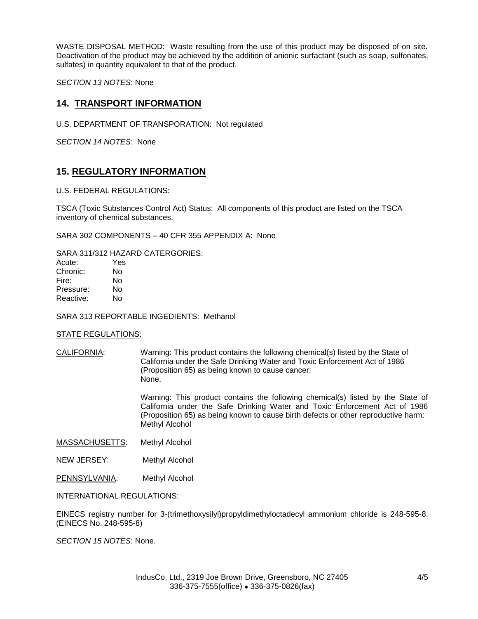WASTE DISPOSAL METHOD: Waste resulting from the use of this product may be disposed of on site. Deactivation of the product may be achieved by the addition of anionic surfactant (such as soap, sulfonates, sulfates) in quantity equivalent to that of the product.

*SECTION 13 NOTES*: None

### **14. TRANSPORT INFORMATION**

U.S. DEPARTMENT OF TRANSPORATION: Not regulated

*SECTION 14 NOTES*: None

### **15. REGULATORY INFORMATION**

#### U.S. FEDERAL REGULATIONS:

TSCA (Toxic Substances Control Act) Status: All components of this product are listed on the TSCA inventory of chemical substances.

SARA 302 COMPONENTS – 40 CFR 355 APPENDIX A: None

SARA 311/312 HAZARD CATERGORIES:

| Yes |
|-----|
| No  |
| N٥  |
| N٥  |
| N٥  |
|     |

SARA 313 REPORTABLE INGEDIENTS: Methanol

#### STATE REGULATIONS:

CALIFORNIA: Warning: This product contains the following chemical(s) listed by the State of California under the Safe Drinking Water and Toxic Enforcement Act of 1986 (Proposition 65) as being known to cause cancer: None.

> Warning: This product contains the following chemical(s) listed by the State of California under the Safe Drinking Water and Toxic Enforcement Act of 1986 (Proposition 65) as being known to cause birth defects or other reproductive harm: Methyl Alcohol

- MASSACHUSETTS: Methyl Alcohol
- NEW JERSEY: Methyl Alcohol
- PENNSYLVANIA: Methyl Alcohol

#### INTERNATIONAL REGULATIONS:

EINECS registry number for 3-(trimethoxysilyl)propyldimethyloctadecyl ammonium chloride is 248-595-8. (EINECS No. 248-595-8)

*SECTION 15 NOTES*: None.